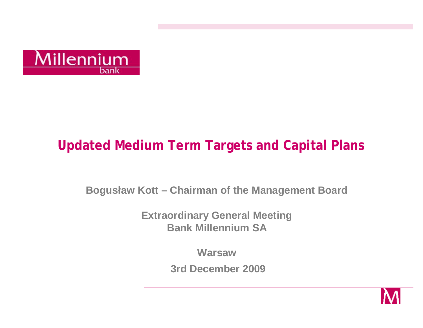

# **Updated Medium Term Targets and Capital Plans**

**Bogusław Kott - Chairman of the Management Board** 

**Extraordinary General Meeting Bank Millennium SA** 

**Warsaw** 

3rd December 2009

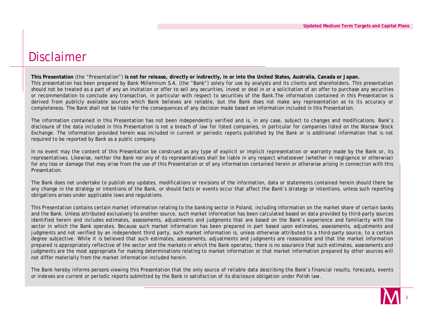#### Disclaimer

This Presentation (the "Presentation") is not for release, directly or indirectly, in or into the United States, Australia, Canada or Japan. This presentation has been prepared by Bank Millennium S.A. (the "Bank") solely for use by analysts and its clients and shareholders. This presentation should not be treated as a part of any an invitation or offer to sell any securities, invest or deal in or a solicitation of an offer to purchase any securities or recommendation to conclude any transaction, in particular with respect to securities of the Bank.The information contained in this Presentation is derived from publicly available sources which Bank believes are reliable, but the Bank does not make any representation as to its accuracy or completeness. The Bank shall not be liable for the consequences of any decision made based on information included in this Presentation.

The information contained in this Presentation has not been independently verified and is, in any case, subject to changes and modifications. Bank's disclosure of the data included in this Presentation is not a breach of law for listed companies, in particular for companies listed on the Warsaw Stock Exchange. The information provided herein was included in current or periodic reports published by the Bank or is additional information that is not required to be reported by Bank as a public company.

In no event may the content of this Presentation be construed as any type of explicit or implicit representation or warranty made by the Bank or, its representatives. Likewise, neither the Bank nor any of its representatives shall be liable in any respect whatsoever (whether in negligence or otherwise) for any loss or damage that may arise from the use of this Presentation or of any information contained herein or otherwise arising in connection with this Presentation.

The Bank does not undertake to publish any updates, modifications or revisions of the information, data or statements contained herein should there be any change in the strategy or intentions of the Bank, or should facts or events occur that affect the Bank's strategy or intentions, unless such reporting obligations arises under applicable laws and regulations.

This Presentation contains certain market information relating to the banking sector in Poland, including information on the market share of certain banks and the Bank. Unless attributed exclusively to another source, such market information has been calculated based on data provided by third-party sources identified herein and includes estimates, assessments, adjustments and judgments that are based on the Bank's experience and familiarity with the sector in which the Bank operates. Because such market information has been prepared in part based upon estimates, assessments, adjustments and judgments and not verified by an independent third party, such market information is, unless otherwise attributed to a third-party source, to a certain degree subjective. While it is believed that such estimates, assessments, adjustments and judgments are reasonable and that the market information prepared is appropriately reflective of the sector and the markets in which the Bank operates, there is no assurance that such estimates, assessments and judgments are the most appropriate for making determinations relating to market information or that market information prepared by other sources will not differ materially from the market information included herein.

The Bank hereby informs persons viewing this Presentation that the only source of reliable data describing the Bank's financial results, forecasts, events or indexes are current or periodic reports submitted by the Bank in satisfaction of its disclosure obligation under Polish law.

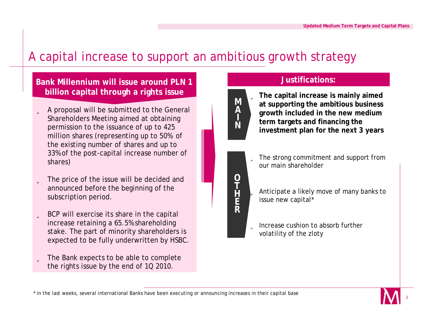### A capital increase to support an ambitious growth strategy

#### **Bank Millennium will issue around PLN 1 billion capital through a rights issue**

- ü A proposal will be submitted to the General Shareholders Meeting aimed at obtaining permission to the issuance of up to 425 million shares (representing up to 50% of the existing number of shares and up to 33% of the post-capital increase number of shares)
- $\ddot{\mathbf{u}}$  The price of the issue will be decided and announced before the beginning of the subscription period.
- ü BCP will exercise its share in the capital increase retaining a 65.5% shareholding stake. The part of minority shareholders is expected to be fully underwritten by HSBC.
- ü The Bank expects to be able to complete the rights issue by the end of 1Q 2010.

#### **Justifications:**

**term targets and financing the** 

ü **The capital increase is mainly aimed M A I N**

**O**   $\overline{\mathbf{I}}$ **H E R**

ü The strong commitment and support from our main shareholder

**at supporting the ambitious business growth included in the new medium** 

**investment plan for the next 3 years** 

- i Anticipate a likely move of many banks to issue new capital\*
- ü Increase cushion to absorb further volatility of the zloty



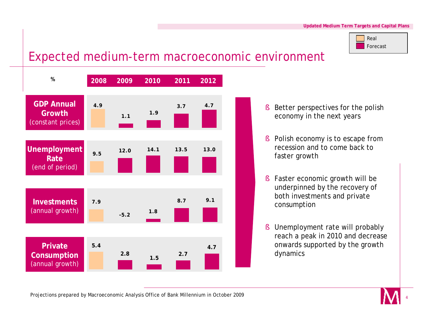

#### Expected medium-term macroeconomic environment



- § Better perspectives for the polish economy in the next years
- § Polish economy is to escape from recession and to come back to faster growth
- § Faster economic growth will be underpinned by the recovery of both investments and private consumption
- § Unemployment rate will probably reach a peak in 2010 and decrease onwards supported by the growth dynamics



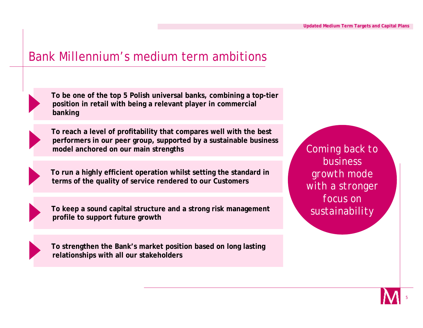#### Bank Millennium's medium term ambitions



**To be one of the top 5 Polish universal banks, combining a top-tier position in retail with being a relevant player in commercial banking**



**To reach a level of profitability that compares well with the best performers in our peer group, supported by a sustainable business model anchored on our main strengths** 

**To run a highly efficient operation whilst setting the standard in terms of the quality of service rendered to our Customers**

**To keep a sound capital structure and a strong risk management profile to support future growth**



**To strengthen the Bank's market position based on long lasting relationships with all our stakeholders**

*Coming back to business growth mode with a stronger focus on sustainability*

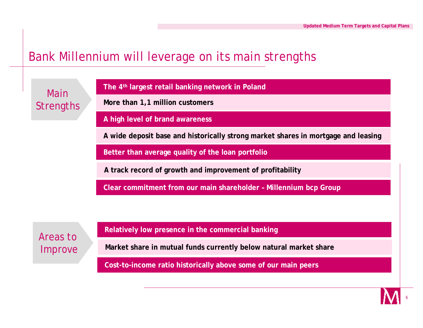### Bank Millennium will leverage on its main strengths

Main **Strengths**  **The 4th largest retail banking network in Poland** 

**More than 1,1 million customers**

**A high level of brand awareness**

**A wide deposit base and historically strong market shares in mortgage and leasing**

**Better than average quality of the loan portfolio**

**A track record of growth and improvement of profitability**

**Clear commitment from our main shareholder – Millennium bcp Group**

Areas to Improve **Relatively low presence in the commercial banking**

**Market share in mutual funds currently below natural market share**

**Cost-to-income ratio historically above some of our main peers**

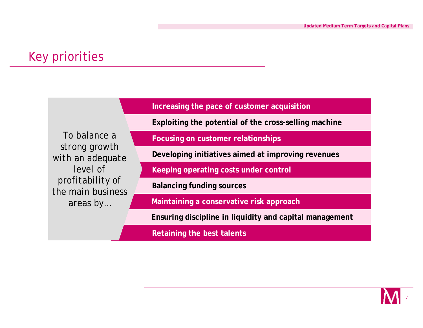### Key priorities

**Increasing the pace of customer acquisition**

**Exploiting the potential of the cross-selling machine**

*To balance a strong growth with an adequate level of profitability of the main business areas by…*

**Focusing on customer relationships**

**Developing initiatives aimed at improving revenues**

**Keeping operating costs under control**

**Balancing funding sources**

**Maintaining a conservative risk approach**

**Ensuring discipline in liquidity and capital management**

**Retaining the best talents**

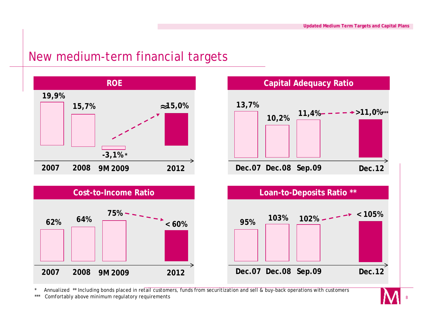**11,4% >11,0%\*\*\***

#### New medium-term financial targets



Annualized \*\* Including bonds placed in retail customers, funds from securitization and sell & buy-back operations with customers

\*\*\* Comfortably above minimum regulatory requirements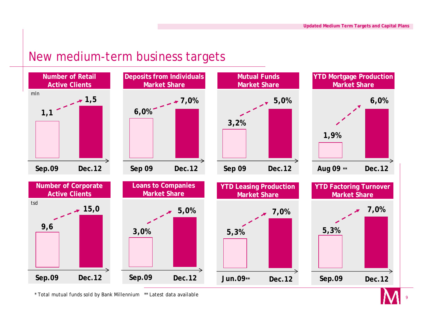#### New medium-term business targets



\* Total mutual funds sold by Bank Millennium \*\* Latest data available